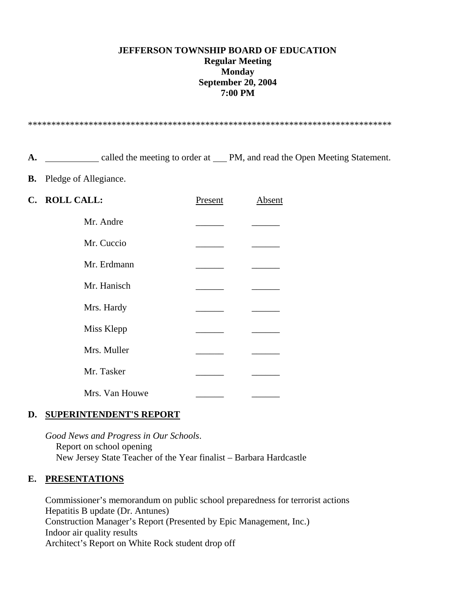### **JEFFERSON TOWNSHIP BOARD OF EDUCATION Regular Meeting Monday September 20, 2004 7:00 PM**

\*\*\*\*\*\*\*\*\*\*\*\*\*\*\*\*\*\*\*\*\*\*\*\*\*\*\*\*\*\*\*\*\*\*\*\*\*\*\*\*\*\*\*\*\*\*\*\*\*\*\*\*\*\*\*\*\*\*\*\*\*\*\*\*\*\*\*\*\*\*\*\*\*\*\*\*\*\*

A.  $\qquad \qquad$  called the meeting to order at PM, and read the Open Meeting Statement.

**B.** Pledge of Allegiance.

| C. ROLL CALL:  | Present | Absent |
|----------------|---------|--------|
| Mr. Andre      |         |        |
| Mr. Cuccio     |         |        |
| Mr. Erdmann    |         |        |
| Mr. Hanisch    |         |        |
| Mrs. Hardy     |         |        |
| Miss Klepp     |         |        |
| Mrs. Muller    |         |        |
| Mr. Tasker     |         |        |
| Mrs. Van Houwe |         |        |

#### **D. SUPERINTENDENT'S REPORT**

 *Good News and Progress in Our Schools*. Report on school opening New Jersey State Teacher of the Year finalist – Barbara Hardcastle

#### **E. PRESENTATIONS**

 Commissioner's memorandum on public school preparedness for terrorist actions Hepatitis B update (Dr. Antunes) Construction Manager's Report (Presented by Epic Management, Inc.) Indoor air quality results Architect's Report on White Rock student drop off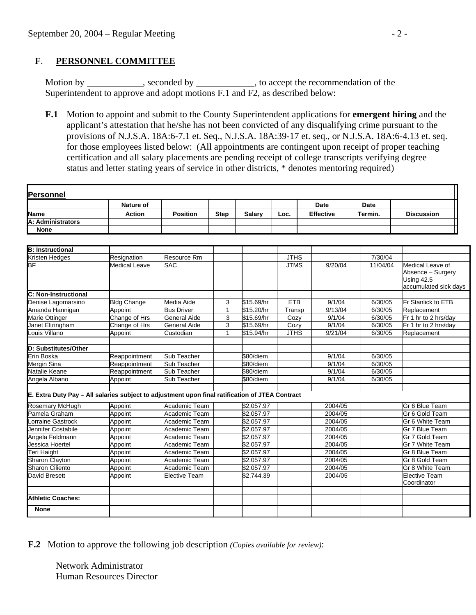## **F**. **PERSONNEL COMMITTEE**

Motion by \_\_\_\_\_\_\_\_\_\_, seconded by \_\_\_\_\_\_\_\_\_, to accept the recommendation of the Superintendent to approve and adopt motions F.1 and F2, as described below:

 **F.1** Motion to appoint and submit to the County Superintendent applications for **emergent hiring** and the applicant's attestation that he/she has not been convicted of any disqualifying crime pursuant to the provisions of N.J.S.A. 18A:6-7.1 et. Seq., N.J.S.A. 18A:39-17 et. seq., or N.J.S.A. 18A:6-4.13 et. seq. for those employees listed below: (All appointments are contingent upon receipt of proper teaching certification and all salary placements are pending receipt of college transcripts verifying degree status and letter stating years of service in other districts, \* denotes mentoring required)

|                                                                                                 | <b>Nature of</b>     |                      |             |               |             | <b>Date</b>          | Date     |                                                                              |
|-------------------------------------------------------------------------------------------------|----------------------|----------------------|-------------|---------------|-------------|----------------------|----------|------------------------------------------------------------------------------|
| <b>Name</b>                                                                                     | <b>Action</b>        | <b>Position</b>      | <b>Step</b> | <b>Salary</b> | Loc.        | <b>Effective</b>     | Termin.  | <b>Discussion</b>                                                            |
| A: Administrators                                                                               |                      |                      |             |               |             |                      |          |                                                                              |
| <b>None</b>                                                                                     |                      |                      |             |               |             |                      |          |                                                                              |
|                                                                                                 |                      |                      |             |               |             |                      |          |                                                                              |
| <b>B: Instructional</b>                                                                         |                      |                      |             |               |             |                      |          |                                                                              |
| Kristen Hedges                                                                                  | Resignation          | Resource Rm          |             |               | <b>JTHS</b> |                      | 7/30/04  |                                                                              |
| BF                                                                                              | <b>Medical Leave</b> | <b>SAC</b>           |             |               | <b>JTMS</b> | 9/20/04              | 11/04/04 | Medical Leave of<br>Absence - Surgery<br>Using 42.5<br>accumulated sick days |
| C: Non-Instructional                                                                            |                      |                      |             |               |             |                      |          |                                                                              |
| Denise Lagomarsino                                                                              | <b>Bldg Change</b>   | Media Aide           | 3           | \$15.69/hr    | <b>ETB</b>  | 9/1/04               | 6/30/05  | Fr Stanlick to ETB                                                           |
| Amanda Hannigan                                                                                 | Appoint              | <b>Bus Driver</b>    | 1           | \$15.20/hr    | Transp      | $\overline{9}/13/04$ | 6/30/05  | Replacement                                                                  |
| <b>Marie Ottinger</b>                                                                           | Change of Hrs        | General Aide         | 3           | \$15.69/hr    | Cozy        | 9/1/04               | 6/30/05  | Fr 1 hr to 2 hrs/day                                                         |
| Janet Eltringham                                                                                | Change of Hrs        | General Aide         | 3           | \$15.69/hr    | Cozy        | 9/1/04               | 6/30/05  | Fr 1 hr to 2 hrs/day                                                         |
| Louis Villano                                                                                   | Appoint              | Custodian            | 1           | \$15.94/hr    | <b>JTHS</b> | 9/21/04              | 6/30/05  | Replacement                                                                  |
| D: Substitutes/Other                                                                            |                      |                      |             |               |             |                      |          |                                                                              |
| Erin Boska                                                                                      | Reappointment        | Sub Teacher          |             | \$80/diem     |             | 9/1/04               | 6/30/05  |                                                                              |
| <b>Mergin Sina</b>                                                                              | Reappointment        | Sub Teacher          |             | \$80/diem     |             | 9/1/04               | 6/30/05  |                                                                              |
| Natalie Keane                                                                                   | Reappointment        | Sub Teacher          |             | \$80/diem     |             | 9/1/04               | 6/30/05  |                                                                              |
| Angela Albano                                                                                   | Appoint              | Sub Teacher          |             | \$80/diem     |             | 9/1/04               | 6/30/05  |                                                                              |
|                                                                                                 |                      |                      |             |               |             |                      |          |                                                                              |
| E. Extra Duty Pay - All salaries subject to adjustment upon final ratification of JTEA Contract |                      |                      |             |               |             |                      |          |                                                                              |
| <b>Rosemary McHugh</b>                                                                          | Appoint              | Academic Team        |             | \$2,057.97    |             | 2004/05              |          | Gr 6 Blue Team                                                               |
| Pamela Graham                                                                                   | Appoint              | Academic Team        |             | \$2,057.97    |             | 2004/05              |          | Gr 6 Gold Team                                                               |
| orraine Gastrock                                                                                | Appoint              | Academic Team        |             | \$2.057.97    |             | 2004/05              |          | Gr 6 White Team                                                              |
| Jennifer Costabile                                                                              | Appoint              | Academic Team        |             | \$2,057.97    |             | 2004/05              |          | Gr 7 Blue Team                                                               |
| Angela Feldmann                                                                                 | Appoint              | Academic Team        |             | \$2.057.97    |             | 2004/05              |          | Gr 7 Gold Team                                                               |
| Jessica Hoertel                                                                                 | Appoint              | Academic Team        |             | \$2,057.97    |             | 2004/05              |          | Gr 7 White Team                                                              |
| Teri Haight                                                                                     | Appoint              | Academic Team        |             | \$2,057.97    |             | 2004/05              |          | Gr 8 Blue Team                                                               |
| <b>Sharon Clayton</b>                                                                           | Appoint              | Academic Team        |             | \$2,057.97    |             | 2004/05              |          | Gr 8 Gold Team                                                               |
| <b>Sharon Ciliento</b>                                                                          | Appoint              | Academic Team        |             | \$2,057.97    |             | 2004/05              |          | Gr 8 White Team                                                              |
| David Bresett                                                                                   | Appoint              | <b>Elective Team</b> |             | \$2,744.39    |             | 2004/05              |          | Elective Team<br>Coordinator                                                 |
|                                                                                                 |                      |                      |             |               |             |                      |          |                                                                              |
| <b>Athletic Coaches:</b>                                                                        |                      |                      |             |               |             |                      |          |                                                                              |
| <b>None</b>                                                                                     |                      |                      |             |               |             |                      |          |                                                                              |

**F.2** Motion to approve the following job description *(Copies available for review)*:

 Network Administrator Human Resources Director